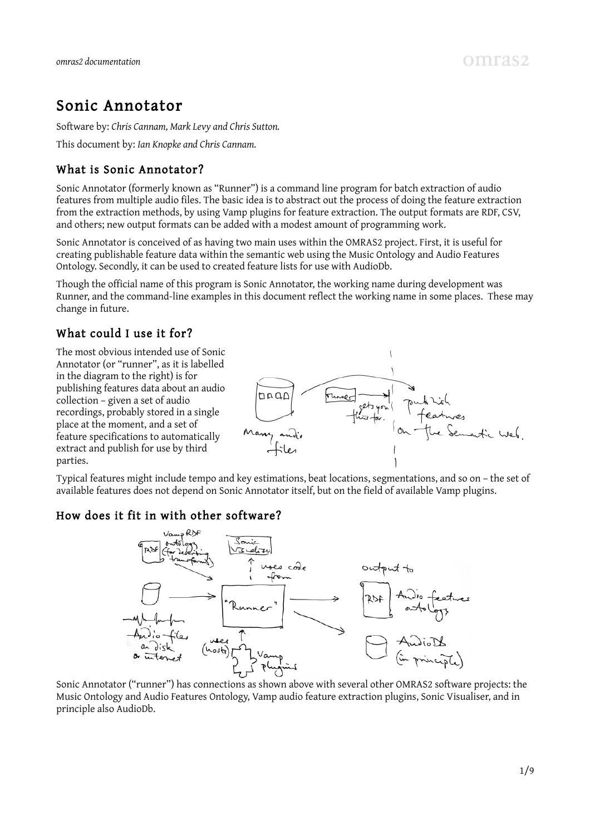## Sonic Annotator

Software by: *Chris Cannam, Mark Levy and Chris Sutton.*

This document by: *Ian Knopke and Chris Cannam.*

### What is Sonic Annotator?

Sonic Annotator (formerly known as "Runner") is a command line program for batch extraction of audio features from multiple audio files. The basic idea is to abstract out the process of doing the feature extraction from the extraction methods, by using Vamp plugins for feature extraction. The output formats are RDF, CSV, and others; new output formats can be added with a modest amount of programming work.

Sonic Annotator is conceived of as having two main uses within the OMRAS2 project. First, it is useful for creating publishable feature data within the semantic web using the Music Ontology and Audio Features Ontology. Secondly, it can be used to created feature lists for use with AudioDb.

Though the official name of this program is Sonic Annotator, the working name during development was Runner, and the command-line examples in this document reflect the working name in some places. These may change in future.

### What could I use it for?

The most obvious intended use of Sonic Annotator (or "runner", as it is labelled in the diagram to the right) is for publishing features data about an audio collection – given a set of audio recordings, probably stored in a single place at the moment, and a set of feature specifications to automatically extract and publish for use by third parties.



Typical features might include tempo and key estimations, beat locations, segmentations, and so on – the set of available features does not depend on Sonic Annotator itself, but on the field of available Vamp plugins.

### How does it fit in with other software?



Sonic Annotator ("runner") has connections as shown above with several other OMRAS2 software projects: the Music Ontology and Audio Features Ontology, Vamp audio feature extraction plugins, Sonic Visualiser, and in principle also AudioDb.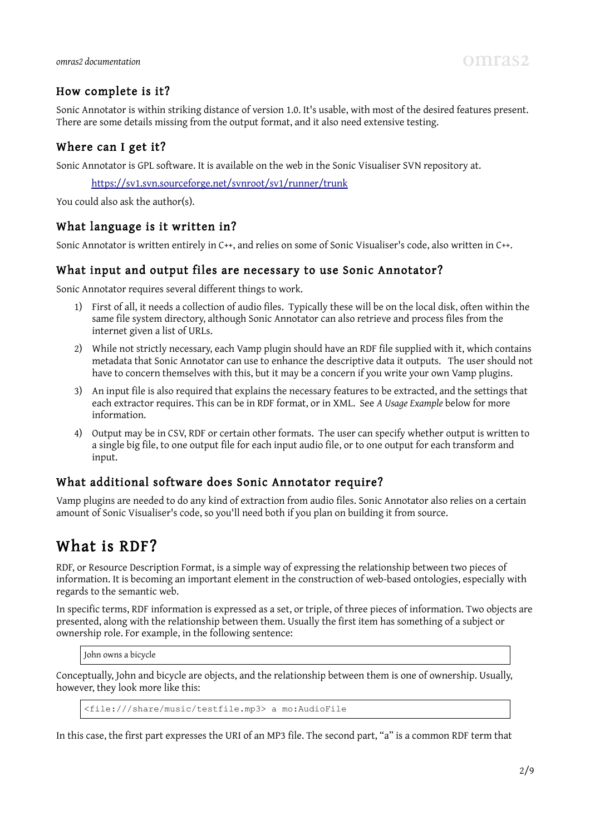### How complete is it?

Sonic Annotator is within striking distance of version 1.0. It's usable, with most of the desired features present. There are some details missing from the output format, and it also need extensive testing.

#### Where can I get it?

Sonic Annotator is GPL software. It is available on the web in the Sonic Visualiser SVN repository at.

<https://sv1.svn.sourceforge.net/svnroot/sv1/runner/trunk>

You could also ask the author(s).

#### What language is it written in?

Sonic Annotator is written entirely in C++, and relies on some of Sonic Visualiser's code, also written in C++.

#### What input and output files are necessary to use Sonic Annotator?

Sonic Annotator requires several different things to work.

- 1) First of all, it needs a collection of audio files. Typically these will be on the local disk, often within the same file system directory, although Sonic Annotator can also retrieve and process files from the internet given a list of URLs.
- 2) While not strictly necessary, each Vamp plugin should have an RDF file supplied with it, which contains metadata that Sonic Annotator can use to enhance the descriptive data it outputs. The user should not have to concern themselves with this, but it may be a concern if you write your own Vamp plugins.
- 3) An input file is also required that explains the necessary features to be extracted, and the settings that each extractor requires. This can be in RDF format, or in XML. See *A Usage Example* below for more information.
- 4) Output may be in CSV, RDF or certain other formats. The user can specify whether output is written to a single big file, to one output file for each input audio file, or to one output for each transform and input.

#### What additional software does Sonic Annotator require?

Vamp plugins are needed to do any kind of extraction from audio files. Sonic Annotator also relies on a certain amount of Sonic Visualiser's code, so you'll need both if you plan on building it from source.

## What is RDF?

RDF, or Resource Description Format, is a simple way of expressing the relationship between two pieces of information. It is becoming an important element in the construction of web-based ontologies, especially with regards to the semantic web.

In specific terms, RDF information is expressed as a set, or triple, of three pieces of information. Two objects are presented, along with the relationship between them. Usually the first item has something of a subject or ownership role. For example, in the following sentence:

John owns a bicycle

Conceptually, John and bicycle are objects, and the relationship between them is one of ownership. Usually, however, they look more like this:

<file:///share/music/testfile.mp3> a mo:AudioFile

In this case, the first part expresses the URI of an MP3 file. The second part, "a" is a common RDF term that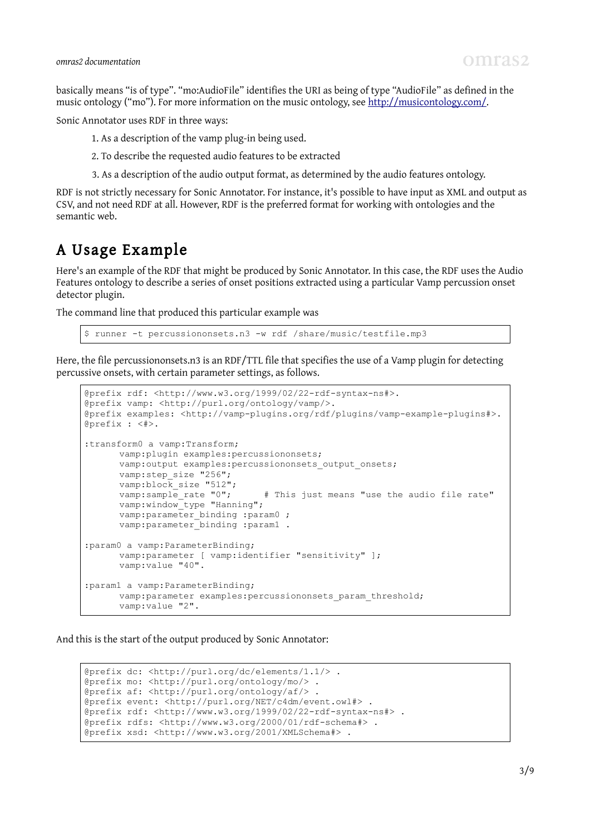basically means "is of type". "mo:AudioFile" identifies the URI as being of type "AudioFile" as defined in the music ontology ("mo"). For more information on the music ontology, see [http://musicontology.com/.](http://musicontology.com/)

Sonic Annotator uses RDF in three ways:

1. As a description of the vamp plug-in being used.

2. To describe the requested audio features to be extracted

3. As a description of the audio output format, as determined by the audio features ontology.

RDF is not strictly necessary for Sonic Annotator. For instance, it's possible to have input as XML and output as CSV, and not need RDF at all. However, RDF is the preferred format for working with ontologies and the semantic web.

## A Usage Example

Here's an example of the RDF that might be produced by Sonic Annotator. In this case, the RDF uses the Audio Features ontology to describe a series of onset positions extracted using a particular Vamp percussion onset detector plugin.

The command line that produced this particular example was

runner -t percussiononsets.n3 -w rdf /share/music/testfile.mp3

Here, the file percussiononsets.n3 is an RDF/TTL file that specifies the use of a Vamp plugin for detecting percussive onsets, with certain parameter settings, as follows.

```
@prefix rdf: <http://www.w3.org/1999/02/22-rdf-syntax-ns#>.
@prefix vamp: <http://purl.org/ontology/vamp/>.
@prefix examples: <http://vamp-plugins.org/rdf/plugins/vamp-example-plugins#>.
@prefix : <#>.
:transform0 a vamp:Transform;
      vamp:plugin examples:percussiononsets;
      vamp: output examples: percussiononsets output onsets;
      vamp:step_size "256";
      vamp:block_size "512";<br>vamp:sample rate "0";
                                   # This just means "use the audio file rate"
      vamp:window_type "Hanning";
      vamp:parameter binding :param0 ;
      vamp:parameter_binding :param1 .
:param0 a vamp:ParameterBinding;
      vamp:parameter [ vamp:identifier "sensitivity" ];
      vamp:value "40".
:param1 a vamp:ParameterBinding;
      vamp: parameter examples: percussiononsets param threshold;
      vamp:value "2".
```
And this is the start of the output produced by Sonic Annotator:

```
@prefix dc: <http://purl.org/dc/elements/1.1/> .
@prefix mo: <http://purl.org/ontology/mo/> .
@prefix af: <http://purl.org/ontology/af/> .
@prefix event: <http://purl.org/NET/c4dm/event.owl#> .
@prefix rdf: <http://www.w3.org/1999/02/22-rdf-syntax-ns#> .
@prefix rdfs: <http://www.w3.org/2000/01/rdf-schema#> .
@prefix xsd: <http://www.w3.org/2001/XMLSchema#> .
```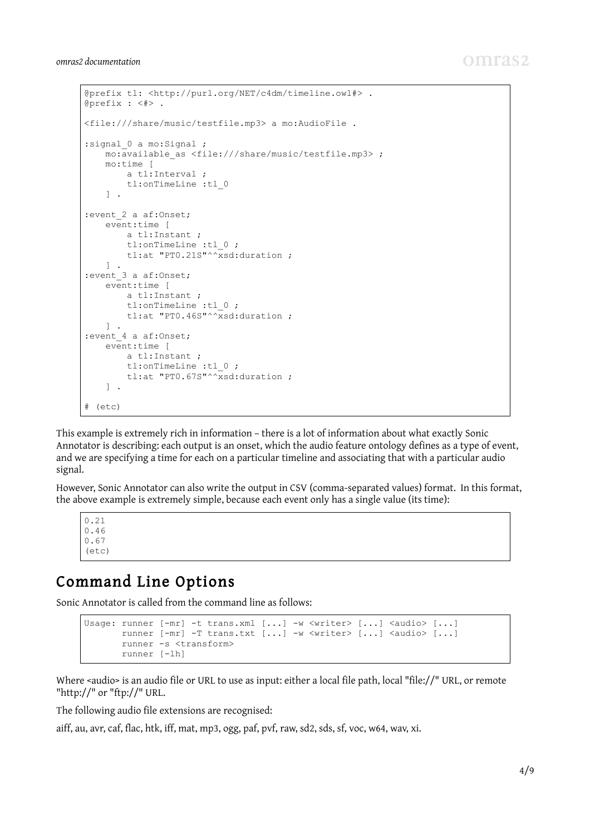```
@prefix tl: <http://purl.org/NET/c4dm/timeline.owl#> .
@prefix : <#> .
<file:///share/music/testfile.mp3> a mo:AudioFile .
:signal 0 a mo:Signal ;
    mo:available_as <file:///share/music/testfile.mp3> ;
     mo:time [
         a tl:Interval ;
         tl:onTimeLine :tl_0
     ] .
:event_2 a af:Onset;
    event:time [ 
        a tl:Instant ;
         tl:onTimeLine :tl_0 ;
        tl:at "PT0.21S"^^xsd:duration ;
    ] .
:event_3 a af:Onset;
    event:time [ 
         a tl:Instant ;
         tl:onTimeLine :tl_0 ;
        tl:at "PT0.46S"^^xsd:duration ;
     ] .
:event_4 a af:Onset;
    event:time [ 
         a tl:Instant ;
         tl:onTimeLine :tl_0 ;
        tl:at "PT0.67S"^^xsd:duration ;
     ] .
# (etc)
```
This example is extremely rich in information – there is a lot of information about what exactly Sonic Annotator is describing: each output is an onset, which the audio feature ontology defines as a type of event, and we are specifying a time for each on a particular timeline and associating that with a particular audio signal.

However, Sonic Annotator can also write the output in CSV (comma-separated values) format. In this format, the above example is extremely simple, because each event only has a single value (its time):

0.21 0.46 0.67 (etc)

## Command Line Options

Sonic Annotator is called from the command line as follows:

```
Usage: runner [-mr] -t trans.xml [...] -w <writer> [...] <audio> [...]
       runner [-mr] -T trans.txt [...] -w <writer> [...] <audio> [...]
       runner -s <transform>
        runner [-lh]
```
Where <audio> is an audio file or URL to use as input: either a local file path, local "file://" URL, or remote "http://" or "ftp://" URL.

The following audio file extensions are recognised:

aiff, au, avr, caf, flac, htk, iff, mat, mp3, ogg, paf, pvf, raw, sd2, sds, sf, voc, w64, wav, xi.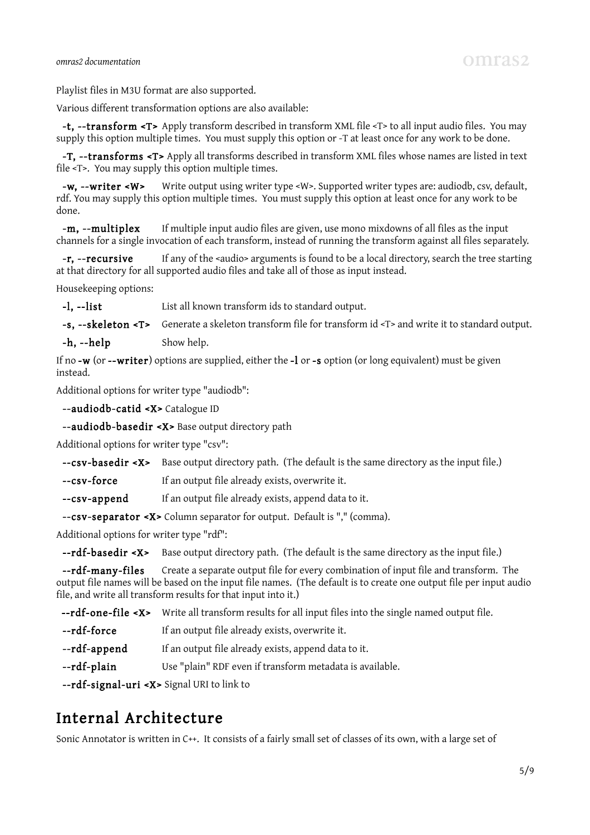Playlist files in M3U format are also supported.

Various different transformation options are also available:

 -t, --transform <T> Apply transform described in transform XML file <T> to all input audio files. You may supply this option multiple times. You must supply this option or -T at least once for any work to be done.

 -T, --transforms <T> Apply all transforms described in transform XML files whose names are listed in text file <T>. You may supply this option multiple times.

 -w, --writer <W> Write output using writer type <W>. Supported writer types are: audiodb, csv, default, rdf. You may supply this option multiple times. You must supply this option at least once for any work to be done.

-m, --multiplex If multiple input audio files are given, use mono mixdowns of all files as the input channels for a single invocation of each transform, instead of running the transform against all files separately.

-r, --recursive If any of the <audio> arguments is found to be a local directory, search the tree starting at that directory for all supported audio files and take all of those as input instead.

Housekeeping options:

-**l**, --list List all known transform ids to standard output.

-s, --skeleton <T> Generate a skeleton transform file for transform id <T> and write it to standard output.

-**h**, --**help** Show help.

If no -w (or --writer) options are supplied, either the -l or -s option (or long equivalent) must be given instead.

Additional options for writer type "audiodb":

--audiodb-catid <X> Catalogue ID

--audiodb-basedir <X> Base output directory path

Additional options for writer type "csv":

--csv-basedir <X> Base output directory path. (The default is the same directory as the input file.)

- --csv-force If an output file already exists, overwrite it.
- --csv-append If an output file already exists, append data to it.

--csv-separator <X> Column separator for output. Default is "," (comma).

Additional options for writer type "rdf":

--rdf-basedir <X> Base output directory path. (The default is the same directory as the input file.)

--rdf-many-files Create a separate output file for every combination of input file and transform. The output file names will be based on the input file names. (The default is to create one output file per input audio file, and write all transform results for that input into it.)

--rdf-one-file <X> Write all transform results for all input files into the single named output file.

- --rdf-force If an output file already exists, overwrite it.
- --rdf-append If an output file already exists, append data to it.
- --rdf-plain Use "plain" RDF even if transform metadata is available.

--rdf-signal-uri <X> Signal URI to link to

## Internal Architecture

Sonic Annotator is written in C++. It consists of a fairly small set of classes of its own, with a large set of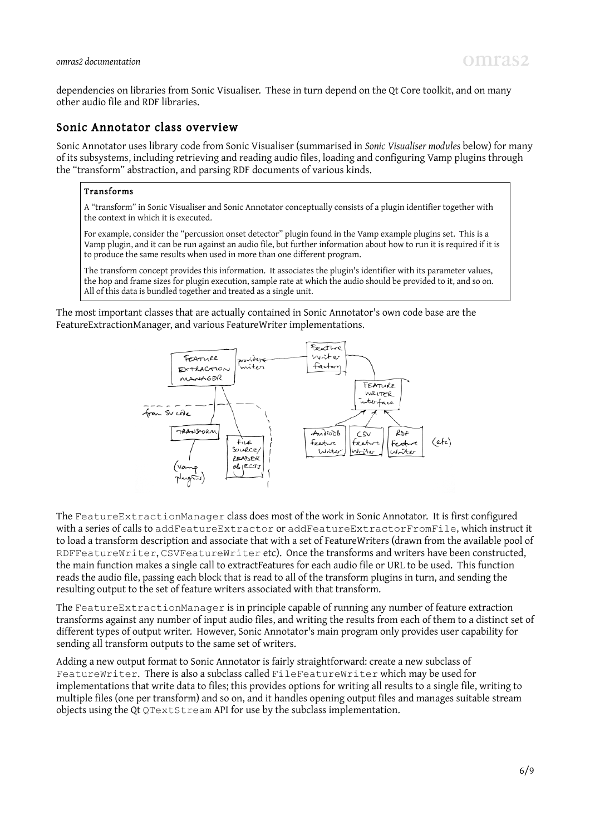dependencies on libraries from Sonic Visualiser. These in turn depend on the Qt Core toolkit, and on many other audio file and RDF libraries.

#### Sonic Annotator class overview

Sonic Annotator uses library code from Sonic Visualiser (summarised in *Sonic Visualiser modules* below) for many of its subsystems, including retrieving and reading audio files, loading and configuring Vamp plugins through the "transform" abstraction, and parsing RDF documents of various kinds.

#### Transforms

A "transform" in Sonic Visualiser and Sonic Annotator conceptually consists of a plugin identifier together with the context in which it is executed.

For example, consider the "percussion onset detector" plugin found in the Vamp example plugins set. This is a Vamp plugin, and it can be run against an audio file, but further information about how to run it is required if it is to produce the same results when used in more than one different program.

The transform concept provides this information. It associates the plugin's identifier with its parameter values, the hop and frame sizes for plugin execution, sample rate at which the audio should be provided to it, and so on. All of this data is bundled together and treated as a single unit.

The most important classes that are actually contained in Sonic Annotator's own code base are the FeatureExtractionManager, and various FeatureWriter implementations.



The FeatureExtractionManager class does most of the work in Sonic Annotator. It is first configured with a series of calls to addFeatureExtractor or addFeatureExtractorFromFile, which instruct it to load a transform description and associate that with a set of FeatureWriters (drawn from the available pool of RDFFeatureWriter, CSVFeatureWriter etc). Once the transforms and writers have been constructed, the main function makes a single call to extractFeatures for each audio file or URL to be used. This function reads the audio file, passing each block that is read to all of the transform plugins in turn, and sending the resulting output to the set of feature writers associated with that transform.

The FeatureExtractionManager is in principle capable of running any number of feature extraction transforms against any number of input audio files, and writing the results from each of them to a distinct set of different types of output writer. However, Sonic Annotator's main program only provides user capability for sending all transform outputs to the same set of writers.

Adding a new output format to Sonic Annotator is fairly straightforward: create a new subclass of FeatureWriter. There is also a subclass called FileFeatureWriter which may be used for implementations that write data to files; this provides options for writing all results to a single file, writing to multiple files (one per transform) and so on, and it handles opening output files and manages suitable stream objects using the Qt QTextStream API for use by the subclass implementation.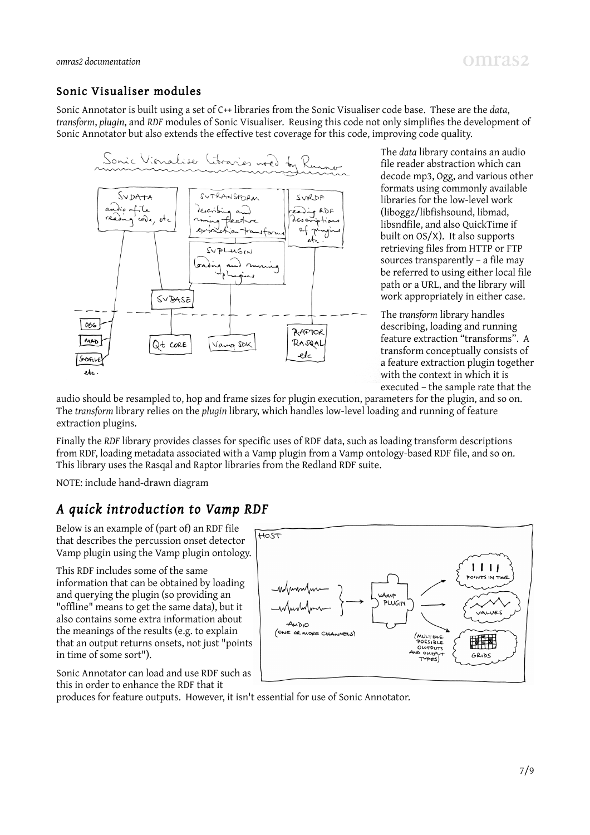#### Sonic Visualiser modules

Sonic Annotator is built using a set of C++ libraries from the Sonic Visualiser code base. These are the *data*, *transform*, *plugin*, and *RDF* modules of Sonic Visualiser. Reusing this code not only simplifies the development of Sonic Annotator but also extends the effective test coverage for this code, improving code quality.



The *data* library contains an audio file reader abstraction which can decode mp3, Ogg, and various other formats using commonly available libraries for the low-level work (liboggz/libfishsound, libmad, libsndfile, and also QuickTime if built on OS/X). It also supports retrieving files from HTTP or FTP sources transparently – a file may be referred to using either local file path or a URL, and the library will work appropriately in either case.

The *transform* library handles describing, loading and running feature extraction "transforms". A transform conceptually consists of a feature extraction plugin together with the context in which it is executed – the sample rate that the

audio should be resampled to, hop and frame sizes for plugin execution, parameters for the plugin, and so on. The *transform* library relies on the *plugin* library, which handles low-level loading and running of feature extraction plugins.

Finally the *RDF* library provides classes for specific uses of RDF data, such as loading transform descriptions from RDF, loading metadata associated with a Vamp plugin from a Vamp ontology-based RDF file, and so on. This library uses the Rasqal and Raptor libraries from the Redland RDF suite.

NOTE: include hand-drawn diagram

### *A quick introduction to Vamp RDF*

Below is an example of (part of) an RDF file that describes the percussion onset detector Vamp plugin using the Vamp plugin ontology.

This RDF includes some of the same information that can be obtained by loading and querying the plugin (so providing an "offline" means to get the same data), but it also contains some extra information about the meanings of the results (e.g. to explain that an output returns onsets, not just "points in time of some sort").

Sonic Annotator can load and use RDF such as this in order to enhance the RDF that it



produces for feature outputs. However, it isn't essential for use of Sonic Annotator.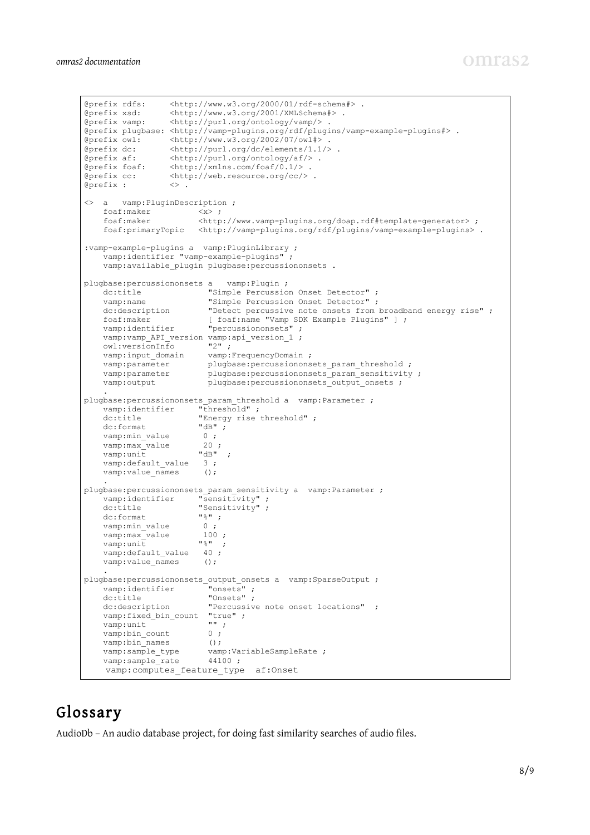```
@prefix rdfs: \langle \text{http://www.w3.org/2000/01/rdf-schema#}\rangle.<br>@prefix xsd: \langle \text{http://www.w3.org/2001/XMLSchema#}\rangle.
@prefix xsd: <http://www.w3.org/2001/XMLSchema#>.<br>@prefix vamp: <http://purl.org/ontology/vamp/>.
                  \langle \text{http://purl.org/ontology/vamp/>})@prefix plugbase: <http://vamp-plugins.org/rdf/plugins/vamp-example-plugins#> .
@prefix owl: <http://www.w3.org/2002/07/owl#> .
@prefix dc: <http://purl.org/dc/elements/1.1/> .
@prefix af: <http://purl.org/ontology/af/> .
@prefix foaf: <http://xmlns.com/foaf/0.1/> .
@prefix cc: <http://web.resource.org/cc/> .
@prefix : <> .
<> a vamp:PluginDescription ;
    foaf:maker <x> ;<br>foaf:maker <http
                         foaf:maker <http://www.vamp-plugins.org/doap.rdf#template-generator> ;
    foaf:primaryTopic <http://vamp-plugins.org/rdf/plugins/vamp-example-plugins>.
:vamp-example-plugins a vamp:PluginLibrary ;
     vamp:identifier "vamp-example-plugins" ; 
     vamp:available_plugin plugbase:percussiononsets .
plugbase:percussiononsets a vamp: Plugin ;<br>dc:title "Simple Percussion Onset Detector" ;
 dc:title "Simple Percussion Onset Detector" ;
 vamp:name "Simple Percussion Onset Detector" ;
    dc:description "Detect percussive note onsets from broadband energy rise" ;
 foaf:maker [ foaf:name "Vamp SDK Example Plugins" ] ;
 vamp:identifier "percussiononsets" ;
 vamp:vamp_API_version vamp:api_version_1 ;
 owl:versionInfo "2" ;
vamp:input domain vamp:FrequencyDomain ;
vamp:parameter plugbase:percussiononsets param threshold ;
vamp:parameter plugbase:percussiononsets param sensitivity ;
vamp: output plugbase: percussiononsets output onsets ;
 .
plugbase: percussiononsets param threshold a vamp: Parameter ;
    vamp:identifier "threshold" ;
    dc:title "Energy rise threshold" ;<br>dc:format. "dB" ;
 dc:format "dB" ;
vamp:min_value 0 ;
vamp: max value 20 ;
vamp:unit "dB" ;
    vamp:default_value 3;<br>vamp:value names ();
   vamp:value_names
 .
plugbase: percussiononsets param sensitivity a vamp: Parameter ;
   vamp:identifier "sensitivity";<br>dettitle "Sensitivity";
                       "Sensitivity" ;<br>"%" ;
    dc:formatvamp:min_value 0 ;
vamp:max_value 100;
vamp:unit "%" ;
    vamp:default_value 40 ;
    vamp:value names ();
 .
plugbase:percussiononsets_output_onsets a vamp:SparseOutput ;<br>vamp:identifier "onsets" ;
vamp:identifier "onsets";
dc:title "Onsets";
    dc:description description entergy reserve note onset locations" ;
    vamp:fixed_bin_count "true" ;
    vamp:unit ""<br>vamp:bin count 0;
    vamp:bin_count
    vamp:bin_names ();
    vamp:sample_type vamp:VariableSampleRate ;<br>vamp:sample rate 44100 ;
    vamp:sample_rate
    vamp: computes feature type af: Onset
```
# Glossary

AudioDb – An audio database project, for doing fast similarity searches of audio files.